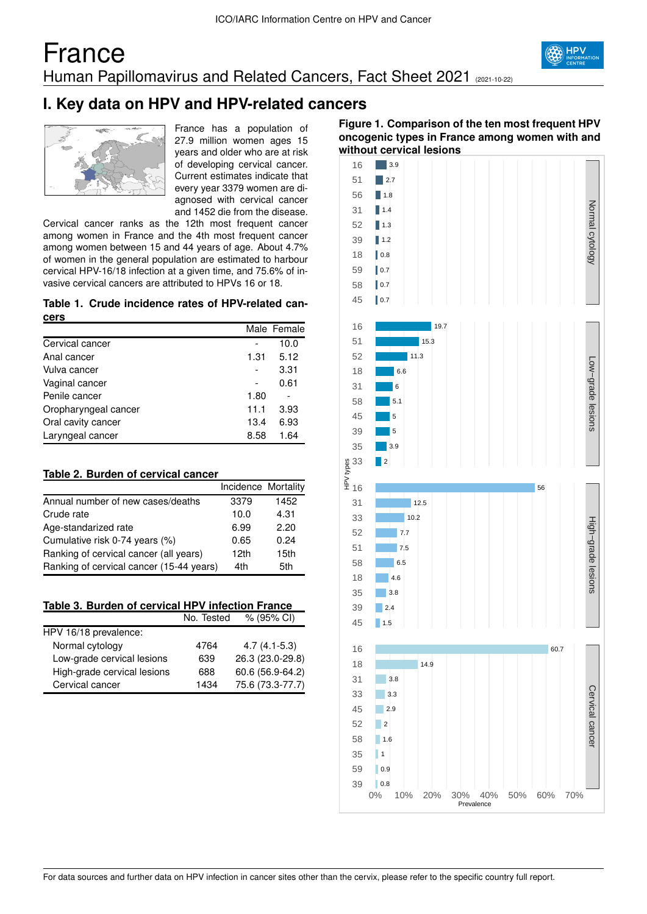## France Human Papillomavirus and Related Cancers, Fact Sheet 2021 (2021-10-22)



## **I. Key data on HPV and HPV-related cancers**



France has a population of 27.9 million women ages 15 years and older who are at risk of developing cervical cancer. Current estimates indicate that every year 3379 women are diagnosed with cervical cancer and 1452 die from the disease.

Cervical cancer ranks as the 12th most frequent cancer among women in France and the 4th most frequent cancer among women between 15 and 44 years of age. About 4.7% of women in the general population are estimated to harbour cervical HPV-16/18 infection at a given time, and 75.6% of invasive cervical cancers are attributed to HPVs 16 or 18.

#### **Table 1. Crude incidence rates of HPV-related cancers**

|                      |      | Male Female |
|----------------------|------|-------------|
| Cervical cancer      |      | 10.0        |
| Anal cancer          | 1.31 | 5.12        |
| Vulva cancer         |      | 3.31        |
| Vaginal cancer       |      | 0.61        |
| Penile cancer        | 1.80 |             |
| Oropharyngeal cancer | 11.1 | 3.93        |
| Oral cavity cancer   | 13.4 | 6.93        |
| Laryngeal cancer     | 8.58 | 1.64        |

### **Table 2. Burden of cervical cancer**

|                                          | Incidence Mortality |      |
|------------------------------------------|---------------------|------|
| Annual number of new cases/deaths        | 3379                | 1452 |
| Crude rate                               | 10.0                | 4.31 |
| Age-standarized rate                     | 6.99                | 2.20 |
| Cumulative risk 0-74 years (%)           | 0.65                | 0.24 |
| Ranking of cervical cancer (all years)   | 12 <sub>th</sub>    | 15th |
| Ranking of cervical cancer (15-44 years) | 4th                 | 5th  |

### **Table 3. Burden of cervical HPV infection France**

|                             | No. Tested | % (95% CI)       |
|-----------------------------|------------|------------------|
| HPV 16/18 prevalence:       |            |                  |
| Normal cytology             | 4764       | $4.7(4.1-5.3)$   |
| Low-grade cervical lesions  | 639        | 26.3 (23.0-29.8) |
| High-grade cervical lesions | 688        | 60.6 (56.9-64.2) |
| Cervical cancer             | 1434       | 75.6 (73.3-77.7) |

### **Figure 1. Comparison of the ten most frequent HPV oncogenic types in France among women with and without cervical lesions**